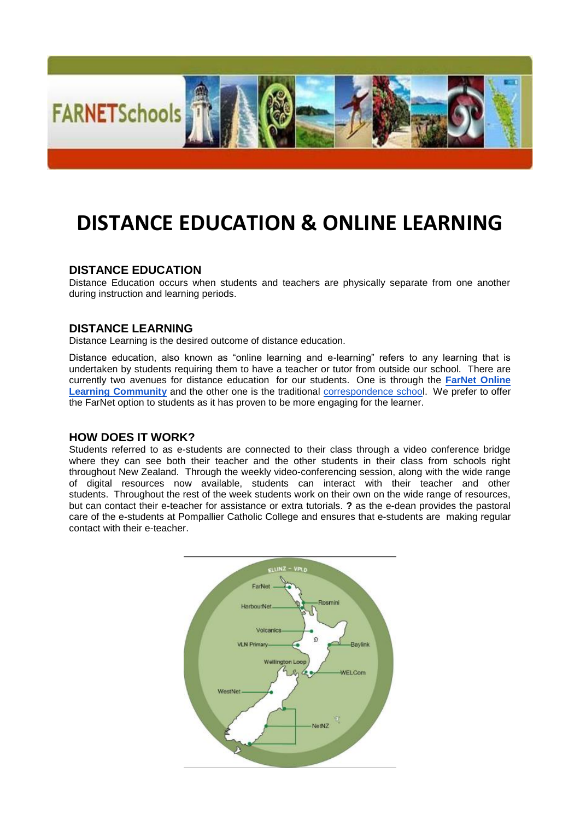

# **DISTANCE EDUCATION & ONLINE LEARNING**

## **DISTANCE EDUCATION**

Distance Education occurs when students and teachers are physically separate from one another during instruction and learning periods.

### **DISTANCE LEARNING**

Distance Learning is the desired outcome of distance education.

Distance education, also known as "online learning and e-learning" refers to any learning that is undertaken by students requiring them to have a teacher or tutor from outside our school. There are currently two avenues for distance education for our students. One is through the **[FarNet Online](http://www.farnet.school.nz/)  [Learning Community](http://www.farnet.school.nz/)** and the other one is the traditional [correspondence school](http://www.tekura.school.nz/). We prefer to offer the FarNet option to students as it has proven to be more engaging for the learner.

## **HOW DOES IT WORK?**

Students referred to as e-students are connected to their class through a video conference bridge where they can see both their teacher and the other students in their class from schools right throughout New Zealand. Through the weekly video-conferencing session, along with the wide range of digital resources now available, students can interact with their teacher and other students. Throughout the rest of the week students work on their own on the wide range of resources, but can contact their e-teacher for assistance or extra tutorials. **?** as the e-dean provides the pastoral care of the e-students at Pompallier Catholic College and ensures that e-students are making regular contact with their e-teacher.

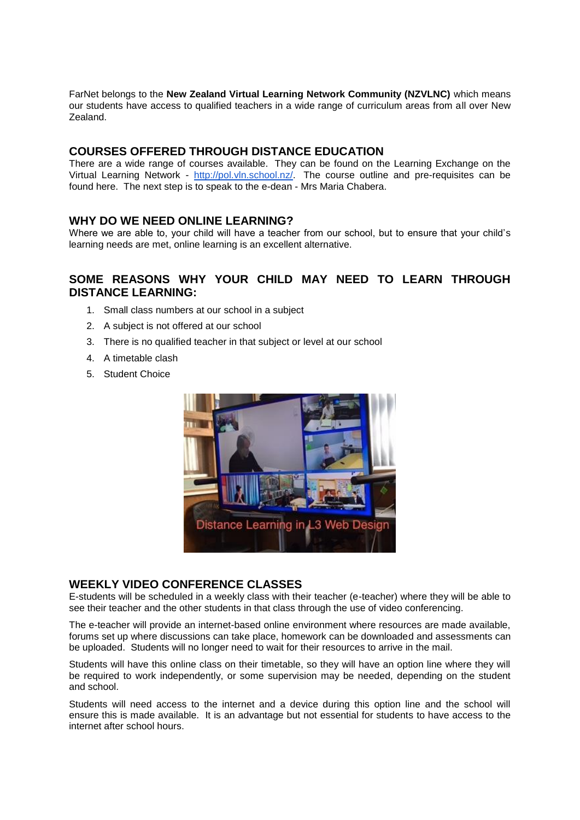FarNet belongs to the **New Zealand Virtual Learning Network Community (NZVLNC)** which means our students have access to qualified teachers in a wide range of curriculum areas from all over New Zealand.

## **COURSES OFFERED THROUGH DISTANCE EDUCATION**

There are a wide range of courses available. They can be found on the Learning Exchange on the Virtual Learning Network - [http://pol.vln.school.nz/.](http://pol.vln.school.nz/) The course outline and pre-requisites can be found here. The next step is to speak to the e-dean - Mrs Maria Chabera.

## **WHY DO WE NEED ONLINE LEARNING?**

Where we are able to, your child will have a teacher from our school, but to ensure that your child's learning needs are met, online learning is an excellent alternative.

# **SOME REASONS WHY YOUR CHILD MAY NEED TO LEARN THROUGH DISTANCE LEARNING:**

- 1. Small class numbers at our school in a subject
- 2. A subject is not offered at our school
- 3. There is no qualified teacher in that subject or level at our school
- 4. A timetable clash
- 5. Student Choice



## **WEEKLY VIDEO CONFERENCE CLASSES**

E-students will be scheduled in a weekly class with their teacher (e-teacher) where they will be able to see their teacher and the other students in that class through the use of video conferencing.

The e-teacher will provide an internet-based online environment where resources are made available, forums set up where discussions can take place, homework can be downloaded and assessments can be uploaded. Students will no longer need to wait for their resources to arrive in the mail.

Students will have this online class on their timetable, so they will have an option line where they will be required to work independently, or some supervision may be needed, depending on the student and school.

Students will need access to the internet and a device during this option line and the school will ensure this is made available. It is an advantage but not essential for students to have access to the internet after school hours.